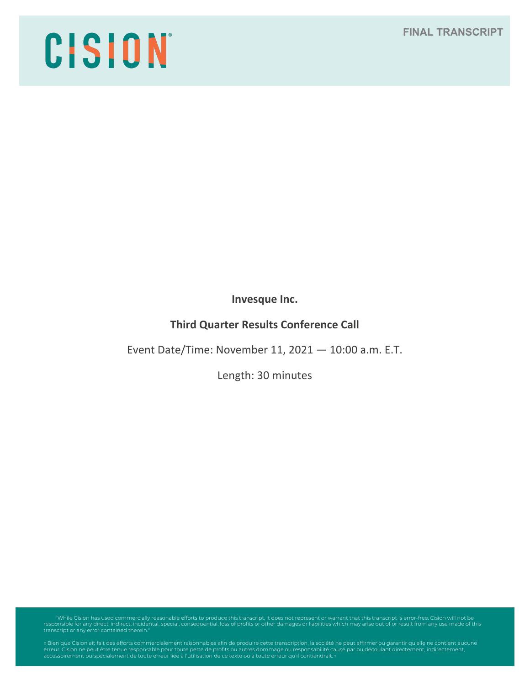# CISION

**Invesque Inc.**

# **Third Quarter Results Conference Call**

Event Date/Time: November 11, 2021 — 10:00 a.m. E.T.

Length: 30 minutes

"While Cision has used commercially reasonable efforts to produce this transcript, it does not represent or warrant that this transcript is error-free. Cision will not be<br>responsible for any direct, indirect, incidental, s

erreur. Cision ne peut être tenue responsable pour toute perte de profits ou autres dommage ou responsabilité causé par ou découlant directement, indirectement,<br>accessoirement ou spécialement de toute erreur liée à l'utili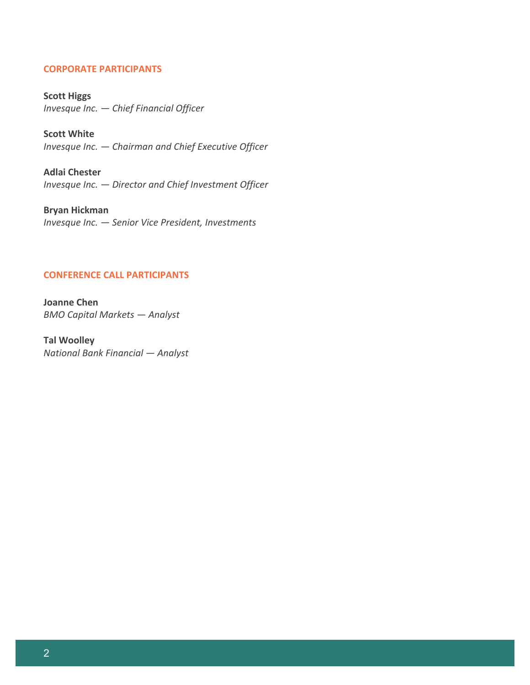# **CORPORATE PARTICIPANTS**

**Scott Higgs** *Invesque Inc. — Chief Financial Officer*

**Scott White** *Invesque Inc. — Chairman and Chief Executive Officer*

**Adlai Chester** *Invesque Inc. — Director and Chief Investment Officer*

**Bryan Hickman** *Invesque Inc. — Senior Vice President, Investments*

## **CONFERENCE CALL PARTICIPANTS**

**Joanne Chen** *BMO Capital Markets — Analyst*

**Tal Woolley** *National Bank Financial — Analyst*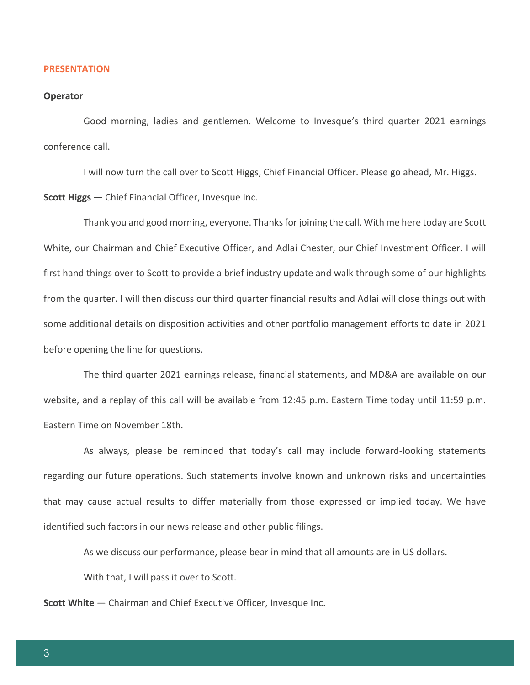### **PRESENTATION**

### **Operator**

Good morning, ladies and gentlemen. Welcome to Invesque's third quarter 2021 earnings conference call.

I will now turn the call over to Scott Higgs, Chief Financial Officer. Please go ahead, Mr. Higgs. **Scott Higgs** — Chief Financial Officer, Invesque Inc.

Thank you and good morning, everyone. Thanks for joining the call. With me here today are Scott White, our Chairman and Chief Executive Officer, and Adlai Chester, our Chief Investment Officer. I will first hand things over to Scott to provide a brief industry update and walk through some of our highlights from the quarter. I will then discuss our third quarter financial results and Adlai will close things out with some additional details on disposition activities and other portfolio management efforts to date in 2021 before opening the line for questions.

The third quarter 2021 earnings release, financial statements, and MD&A are available on our website, and a replay of this call will be available from 12:45 p.m. Eastern Time today until 11:59 p.m. Eastern Time on November 18th.

As always, please be reminded that today's call may include forward-looking statements regarding our future operations. Such statements involve known and unknown risks and uncertainties that may cause actual results to differ materially from those expressed or implied today. We have identified such factors in our news release and other public filings.

As we discuss our performance, please bear in mind that all amounts are in US dollars.

With that, I will pass it over to Scott.

**Scott White** — Chairman and Chief Executive Officer, Invesque Inc.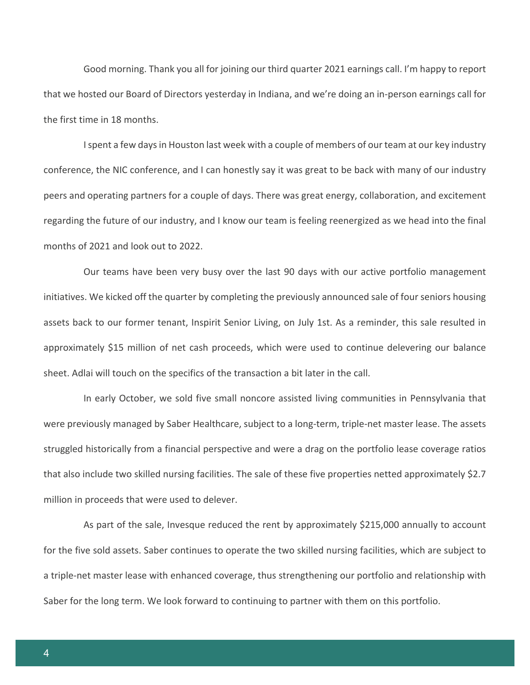Good morning. Thank you all for joining our third quarter 2021 earnings call. I'm happy to report that we hosted our Board of Directors yesterday in Indiana, and we're doing an in-person earnings call for the first time in 18 months.

I spent a few days in Houston last week with a couple of members of our team at our key industry conference, the NIC conference, and I can honestly say it was great to be back with many of our industry peers and operating partners for a couple of days. There was great energy, collaboration, and excitement regarding the future of our industry, and I know our team is feeling reenergized as we head into the final months of 2021 and look out to 2022.

Our teams have been very busy over the last 90 days with our active portfolio management initiatives. We kicked off the quarter by completing the previously announced sale of four seniors housing assets back to our former tenant, Inspirit Senior Living, on July 1st. As a reminder, this sale resulted in approximately \$15 million of net cash proceeds, which were used to continue delevering our balance sheet. Adlai will touch on the specifics of the transaction a bit later in the call.

In early October, we sold five small noncore assisted living communities in Pennsylvania that were previously managed by Saber Healthcare, subject to a long-term, triple-net master lease. The assets struggled historically from a financial perspective and were a drag on the portfolio lease coverage ratios that also include two skilled nursing facilities. The sale of these five properties netted approximately \$2.7 million in proceeds that were used to delever.

As part of the sale, Invesque reduced the rent by approximately \$215,000 annually to account for the five sold assets. Saber continues to operate the two skilled nursing facilities, which are subject to a triple-net master lease with enhanced coverage, thus strengthening our portfolio and relationship with Saber for the long term. We look forward to continuing to partner with them on this portfolio.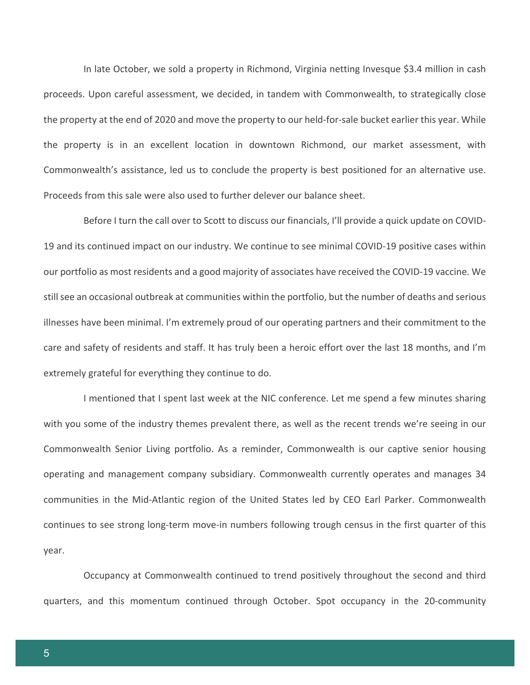In late October, we sold a property in Richmond, Virginia netting Invesque \$3.4 million in cash proceeds. Upon careful assessment, we decided, in tandem with Commonwealth, to strategically close the property at the end of 2020 and move the property to our held-for-sale bucket earlier this year. While the property is in an excellent location in downtown Richmond, our market assessment, with Commonwealth's assistance, led us to conclude the property is best positioned for an alternative use. Proceeds from this sale were also used to further delever our balance sheet.

Before I turn the call over to Scott to discuss our financials, I'll provide a quick update on COVID-19 and its continued impact on our industry. We continue to see minimal COVID-19 positive cases within our portfolio as most residents and a good majority of associates have received the COVID-19 vaccine. We still see an occasional outbreak at communities within the portfolio, but the number of deaths and serious illnesses have been minimal. I'm extremely proud of our operating partners and their commitment to the care and safety of residents and staff. It has truly been a heroic effort over the last 18 months, and I'm extremely grateful for everything they continue to do.

I mentioned that I spent last week at the NIC conference. Let me spend a few minutes sharing with you some of the industry themes prevalent there, as well as the recent trends we're seeing in our Commonwealth Senior Living portfolio. As a reminder, Commonwealth is our captive senior housing operating and management company subsidiary. Commonwealth currently operates and manages 34 communities in the Mid-Atlantic region of the United States led by CEO Earl Parker. Commonwealth continues to see strong long-term move-in numbers following trough census in the first quarter of this year.

Occupancy at Commonwealth continued to trend positively throughout the second and third quarters, and this momentum continued through October. Spot occupancy in the 20-community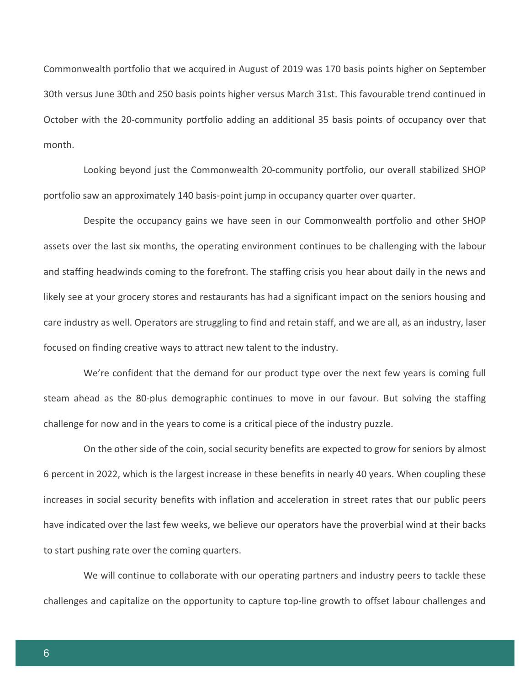Commonwealth portfolio that we acquired in August of 2019 was 170 basis points higher on September 30th versus June 30th and 250 basis points higher versus March 31st. This favourable trend continued in October with the 20-community portfolio adding an additional 35 basis points of occupancy over that month.

Looking beyond just the Commonwealth 20-community portfolio, our overall stabilized SHOP portfolio saw an approximately 140 basis-point jump in occupancy quarter over quarter.

Despite the occupancy gains we have seen in our Commonwealth portfolio and other SHOP assets over the last six months, the operating environment continues to be challenging with the labour and staffing headwinds coming to the forefront. The staffing crisis you hear about daily in the news and likely see at your grocery stores and restaurants has had a significant impact on the seniors housing and care industry as well. Operators are struggling to find and retain staff, and we are all, as an industry, laser focused on finding creative ways to attract new talent to the industry.

We're confident that the demand for our product type over the next few years is coming full steam ahead as the 80-plus demographic continues to move in our favour. But solving the staffing challenge for now and in the years to come is a critical piece of the industry puzzle.

On the other side of the coin, social security benefits are expected to grow for seniors by almost 6 percent in 2022, which is the largest increase in these benefits in nearly 40 years. When coupling these increases in social security benefits with inflation and acceleration in street rates that our public peers have indicated over the last few weeks, we believe our operators have the proverbial wind at their backs to start pushing rate over the coming quarters.

We will continue to collaborate with our operating partners and industry peers to tackle these challenges and capitalize on the opportunity to capture top-line growth to offset labour challenges and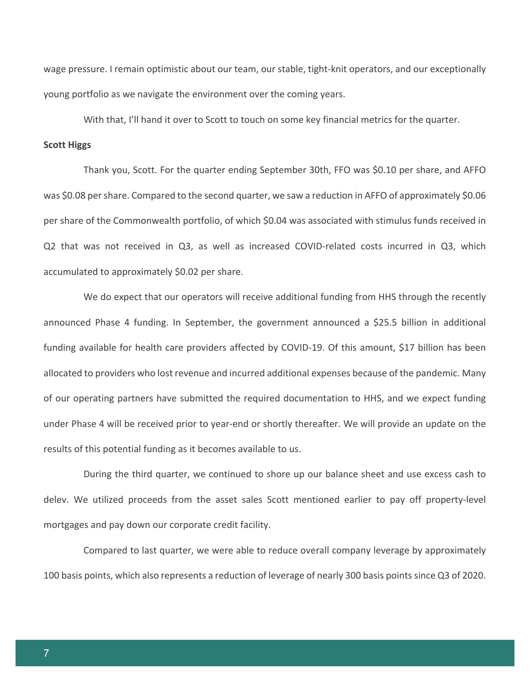wage pressure. I remain optimistic about our team, our stable, tight-knit operators, and our exceptionally young portfolio as we navigate the environment over the coming years.

With that, I'll hand it over to Scott to touch on some key financial metrics for the quarter.

### **Scott Higgs**

Thank you, Scott. For the quarter ending September 30th, FFO was \$0.10 per share, and AFFO was \$0.08 per share. Compared to the second quarter, we saw a reduction in AFFO of approximately \$0.06 per share of the Commonwealth portfolio, of which \$0.04 was associated with stimulus funds received in Q2 that was not received in Q3, as well as increased COVID-related costs incurred in Q3, which accumulated to approximately \$0.02 per share.

We do expect that our operators will receive additional funding from HHS through the recently announced Phase 4 funding. In September, the government announced a \$25.5 billion in additional funding available for health care providers affected by COVID-19. Of this amount, \$17 billion has been allocated to providers who lost revenue and incurred additional expenses because of the pandemic. Many of our operating partners have submitted the required documentation to HHS, and we expect funding under Phase 4 will be received prior to year-end or shortly thereafter. We will provide an update on the results of this potential funding as it becomes available to us.

During the third quarter, we continued to shore up our balance sheet and use excess cash to delev. We utilized proceeds from the asset sales Scott mentioned earlier to pay off property-level mortgages and pay down our corporate credit facility.

Compared to last quarter, we were able to reduce overall company leverage by approximately 100 basis points, which also represents a reduction of leverage of nearly 300 basis points since Q3 of 2020.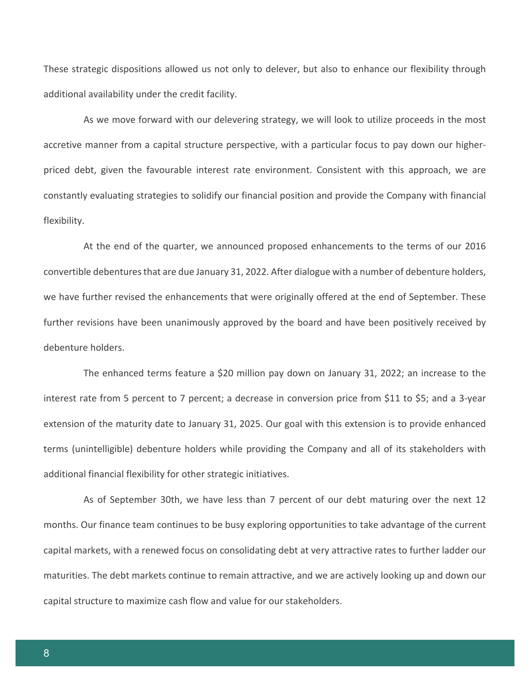These strategic dispositions allowed us not only to delever, but also to enhance our flexibility through additional availability under the credit facility.

As we move forward with our delevering strategy, we will look to utilize proceeds in the most accretive manner from a capital structure perspective, with a particular focus to pay down our higherpriced debt, given the favourable interest rate environment. Consistent with this approach, we are constantly evaluating strategies to solidify our financial position and provide the Company with financial flexibility.

At the end of the quarter, we announced proposed enhancements to the terms of our 2016 convertible debentures that are due January 31, 2022. After dialogue with a number of debenture holders, we have further revised the enhancements that were originally offered at the end of September. These further revisions have been unanimously approved by the board and have been positively received by debenture holders.

The enhanced terms feature a \$20 million pay down on January 31, 2022; an increase to the interest rate from 5 percent to 7 percent; a decrease in conversion price from \$11 to \$5; and a 3-year extension of the maturity date to January 31, 2025. Our goal with this extension is to provide enhanced terms (unintelligible) debenture holders while providing the Company and all of its stakeholders with additional financial flexibility for other strategic initiatives.

As of September 30th, we have less than 7 percent of our debt maturing over the next 12 months. Our finance team continues to be busy exploring opportunities to take advantage of the current capital markets, with a renewed focus on consolidating debt at very attractive rates to further ladder our maturities. The debt markets continue to remain attractive, and we are actively looking up and down our capital structure to maximize cash flow and value for our stakeholders.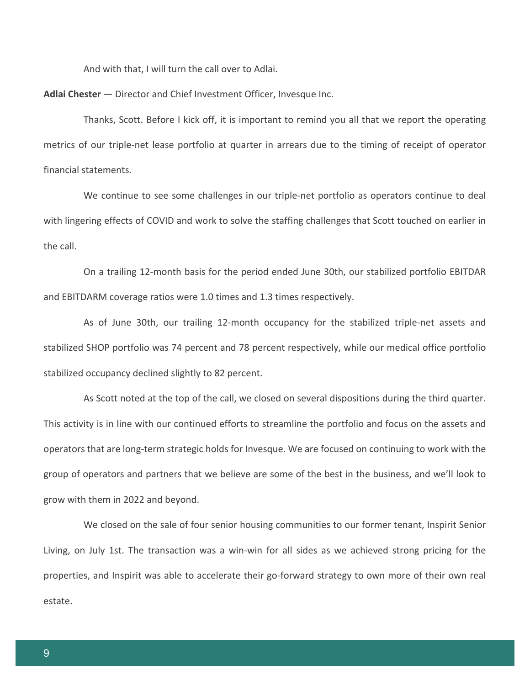And with that, I will turn the call over to Adlai.

**Adlai Chester** — Director and Chief Investment Officer, Invesque Inc.

Thanks, Scott. Before I kick off, it is important to remind you all that we report the operating metrics of our triple-net lease portfolio at quarter in arrears due to the timing of receipt of operator financial statements.

We continue to see some challenges in our triple-net portfolio as operators continue to deal with lingering effects of COVID and work to solve the staffing challenges that Scott touched on earlier in the call.

On a trailing 12-month basis for the period ended June 30th, our stabilized portfolio EBITDAR and EBITDARM coverage ratios were 1.0 times and 1.3 times respectively.

As of June 30th, our trailing 12-month occupancy for the stabilized triple-net assets and stabilized SHOP portfolio was 74 percent and 78 percent respectively, while our medical office portfolio stabilized occupancy declined slightly to 82 percent.

As Scott noted at the top of the call, we closed on several dispositions during the third quarter. This activity is in line with our continued efforts to streamline the portfolio and focus on the assets and operators that are long-term strategic holds for Invesque. We are focused on continuing to work with the group of operators and partners that we believe are some of the best in the business, and we'll look to grow with them in 2022 and beyond.

We closed on the sale of four senior housing communities to our former tenant, Inspirit Senior Living, on July 1st. The transaction was a win-win for all sides as we achieved strong pricing for the properties, and Inspirit was able to accelerate their go-forward strategy to own more of their own real estate.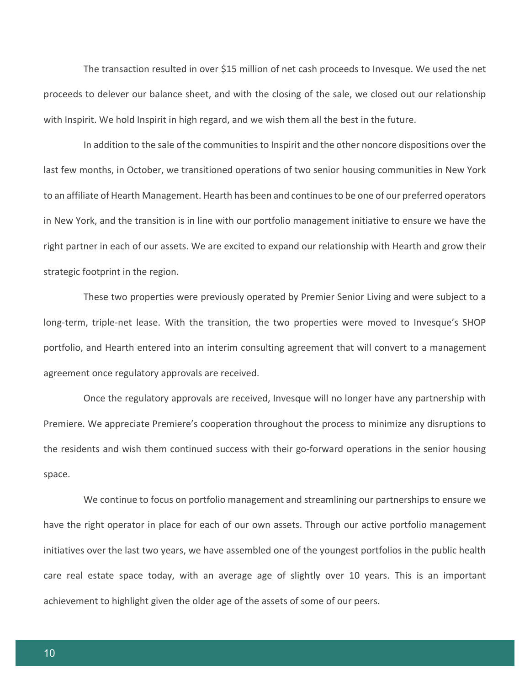The transaction resulted in over \$15 million of net cash proceeds to Invesque. We used the net proceeds to delever our balance sheet, and with the closing of the sale, we closed out our relationship with Inspirit. We hold Inspirit in high regard, and we wish them all the best in the future.

In addition to the sale of the communities to Inspirit and the other noncore dispositions over the last few months, in October, we transitioned operations of two senior housing communities in New York to an affiliate of Hearth Management. Hearth has been and continues to be one of our preferred operators in New York, and the transition is in line with our portfolio management initiative to ensure we have the right partner in each of our assets. We are excited to expand our relationship with Hearth and grow their strategic footprint in the region.

These two properties were previously operated by Premier Senior Living and were subject to a long-term, triple-net lease. With the transition, the two properties were moved to Invesque's SHOP portfolio, and Hearth entered into an interim consulting agreement that will convert to a management agreement once regulatory approvals are received.

Once the regulatory approvals are received, Invesque will no longer have any partnership with Premiere. We appreciate Premiere's cooperation throughout the process to minimize any disruptions to the residents and wish them continued success with their go-forward operations in the senior housing space.

We continue to focus on portfolio management and streamlining our partnerships to ensure we have the right operator in place for each of our own assets. Through our active portfolio management initiatives over the last two years, we have assembled one of the youngest portfolios in the public health care real estate space today, with an average age of slightly over 10 years. This is an important achievement to highlight given the older age of the assets of some of our peers.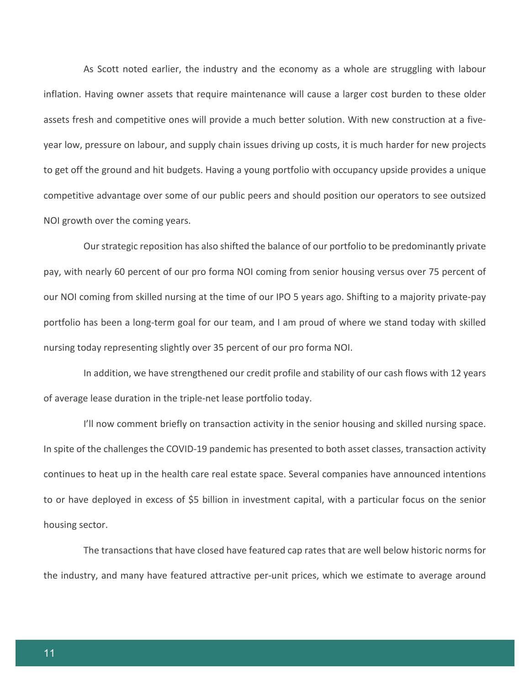As Scott noted earlier, the industry and the economy as a whole are struggling with labour inflation. Having owner assets that require maintenance will cause a larger cost burden to these older assets fresh and competitive ones will provide a much better solution. With new construction at a fiveyear low, pressure on labour, and supply chain issues driving up costs, it is much harder for new projects to get off the ground and hit budgets. Having a young portfolio with occupancy upside provides a unique competitive advantage over some of our public peers and should position our operators to see outsized NOI growth over the coming years.

Our strategic reposition has also shifted the balance of our portfolio to be predominantly private pay, with nearly 60 percent of our pro forma NOI coming from senior housing versus over 75 percent of our NOI coming from skilled nursing at the time of our IPO 5 years ago. Shifting to a majority private-pay portfolio has been a long-term goal for our team, and I am proud of where we stand today with skilled nursing today representing slightly over 35 percent of our pro forma NOI.

In addition, we have strengthened our credit profile and stability of our cash flows with 12 years of average lease duration in the triple-net lease portfolio today.

I'll now comment briefly on transaction activity in the senior housing and skilled nursing space. In spite of the challenges the COVID-19 pandemic has presented to both asset classes, transaction activity continues to heat up in the health care real estate space. Several companies have announced intentions to or have deployed in excess of \$5 billion in investment capital, with a particular focus on the senior housing sector.

The transactions that have closed have featured cap rates that are well below historic norms for the industry, and many have featured attractive per-unit prices, which we estimate to average around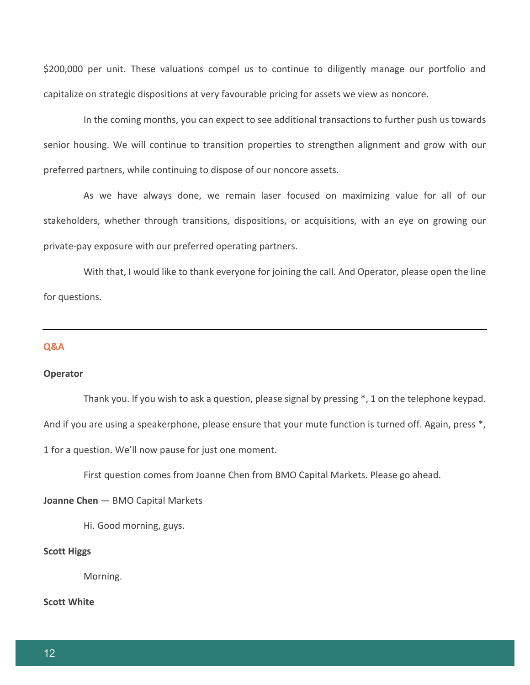\$200,000 per unit. These valuations compel us to continue to diligently manage our portfolio and capitalize on strategic dispositions at very favourable pricing for assets we view as noncore.

In the coming months, you can expect to see additional transactions to further push us towards senior housing. We will continue to transition properties to strengthen alignment and grow with our preferred partners, while continuing to dispose of our noncore assets.

As we have always done, we remain laser focused on maximizing value for all of our stakeholders, whether through transitions, dispositions, or acquisitions, with an eye on growing our private-pay exposure with our preferred operating partners.

With that, I would like to thank everyone for joining the call. And Operator, please open the line for questions.

### **Q&A**

### **Operator**

Thank you. If you wish to ask a question, please signal by pressing \*, 1 on the telephone keypad. And if you are using a speakerphone, please ensure that your mute function is turned off. Again, press \*, 1 for a question. We'll now pause for just one moment.

First question comes from Joanne Chen from BMO Capital Markets. Please go ahead.

### **Joanne Chen** — BMO Capital Markets

Hi. Good morning, guys.

### **Scott Higgs**

Morning.

### **Scott White**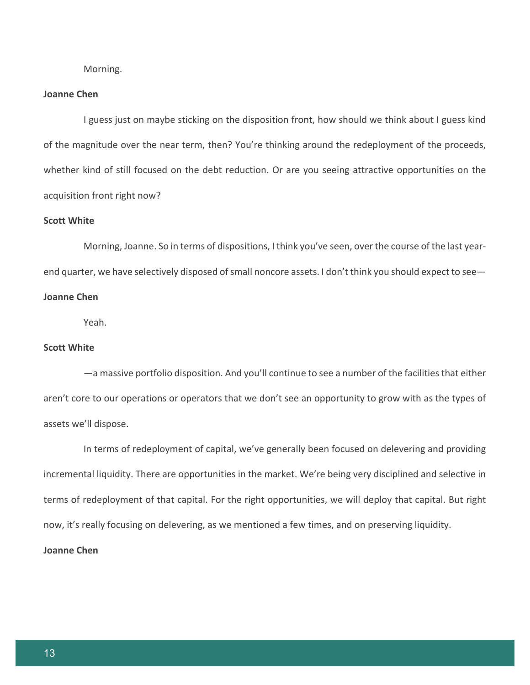Morning.

### **Joanne Chen**

I guess just on maybe sticking on the disposition front, how should we think about I guess kind of the magnitude over the near term, then? You're thinking around the redeployment of the proceeds, whether kind of still focused on the debt reduction. Or are you seeing attractive opportunities on the acquisition front right now?

### **Scott White**

Morning, Joanne. So in terms of dispositions, I think you've seen, over the course of the last yearend quarter, we have selectively disposed of small noncore assets. I don't think you should expect to see— **Joanne Chen**

Yeah.

# **Scott White**

—a massive portfolio disposition. And you'll continue to see a number of the facilities that either aren't core to our operations or operators that we don't see an opportunity to grow with as the types of assets we'll dispose.

In terms of redeployment of capital, we've generally been focused on delevering and providing incremental liquidity. There are opportunities in the market. We're being very disciplined and selective in terms of redeployment of that capital. For the right opportunities, we will deploy that capital. But right now, it's really focusing on delevering, as we mentioned a few times, and on preserving liquidity.

### **Joanne Chen**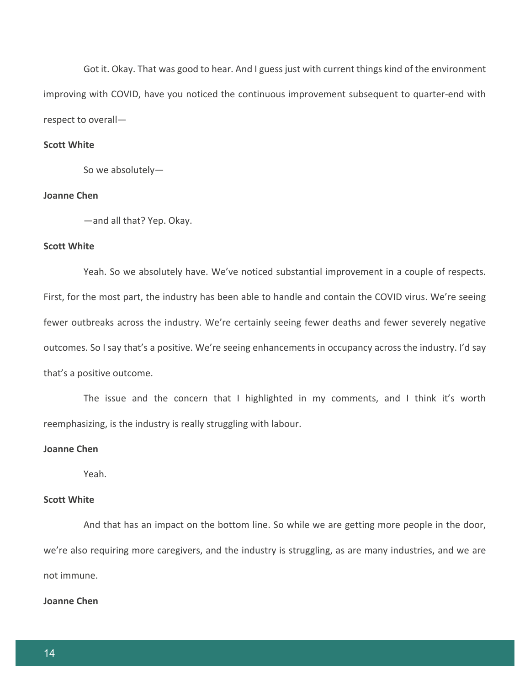Got it. Okay. That was good to hear. And I guess just with current things kind of the environment improving with COVID, have you noticed the continuous improvement subsequent to quarter-end with respect to overall—

### **Scott White**

So we absolutely—

# **Joanne Chen**

—and all that? Yep. Okay.

### **Scott White**

Yeah. So we absolutely have. We've noticed substantial improvement in a couple of respects. First, for the most part, the industry has been able to handle and contain the COVID virus. We're seeing fewer outbreaks across the industry. We're certainly seeing fewer deaths and fewer severely negative outcomes. So I say that's a positive. We're seeing enhancements in occupancy across the industry. I'd say that's a positive outcome.

The issue and the concern that I highlighted in my comments, and I think it's worth reemphasizing, is the industry is really struggling with labour.

### **Joanne Chen**

Yeah.

# **Scott White**

And that has an impact on the bottom line. So while we are getting more people in the door, we're also requiring more caregivers, and the industry is struggling, as are many industries, and we are not immune.

### **Joanne Chen**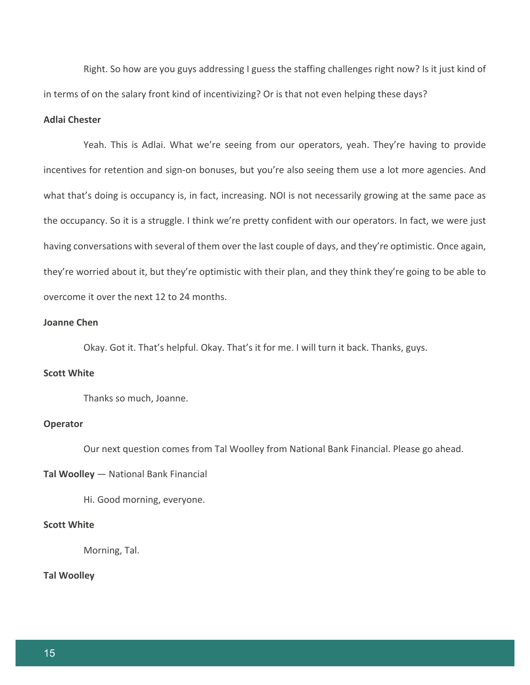Right. So how are you guys addressing I guess the staffing challenges right now? Is it just kind of in terms of on the salary front kind of incentivizing? Or is that not even helping these days?

# **Adlai Chester**

Yeah. This is Adlai. What we're seeing from our operators, yeah. They're having to provide incentives for retention and sign-on bonuses, but you're also seeing them use a lot more agencies. And what that's doing is occupancy is, in fact, increasing. NOI is not necessarily growing at the same pace as the occupancy. So it is a struggle. I think we're pretty confident with our operators. In fact, we were just having conversations with several of them over the last couple of days, and they're optimistic. Once again, they're worried about it, but they're optimistic with their plan, and they think they're going to be able to overcome it over the next 12 to 24 months.

## **Joanne Chen**

Okay. Got it. That's helpful. Okay. That's it for me. I will turn it back. Thanks, guys.

# **Scott White**

Thanks so much, Joanne.

## **Operator**

Our next question comes from Tal Woolley from National Bank Financial. Please go ahead.

### **Tal Woolley** — National Bank Financial

Hi. Good morning, everyone.

# **Scott White**

Morning, Tal.

# **Tal Woolley**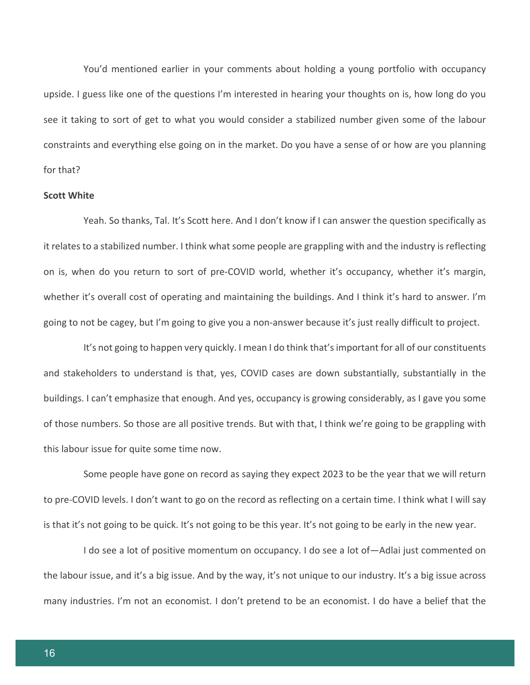You'd mentioned earlier in your comments about holding a young portfolio with occupancy upside. I guess like one of the questions I'm interested in hearing your thoughts on is, how long do you see it taking to sort of get to what you would consider a stabilized number given some of the labour constraints and everything else going on in the market. Do you have a sense of or how are you planning for that?

### **Scott White**

Yeah. So thanks, Tal. It's Scott here. And I don't know if I can answer the question specifically as it relates to a stabilized number. I think what some people are grappling with and the industry is reflecting on is, when do you return to sort of pre-COVID world, whether it's occupancy, whether it's margin, whether it's overall cost of operating and maintaining the buildings. And I think it's hard to answer. I'm going to not be cagey, but I'm going to give you a non-answer because it's just really difficult to project.

It's not going to happen very quickly. I mean I do think that's important for all of our constituents and stakeholders to understand is that, yes, COVID cases are down substantially, substantially in the buildings. I can't emphasize that enough. And yes, occupancy is growing considerably, as I gave you some of those numbers. So those are all positive trends. But with that, I think we're going to be grappling with this labour issue for quite some time now.

Some people have gone on record as saying they expect 2023 to be the year that we will return to pre-COVID levels. I don't want to go on the record as reflecting on a certain time. I think what I will say is that it's not going to be quick. It's not going to be this year. It's not going to be early in the new year.

I do see a lot of positive momentum on occupancy. I do see a lot of—Adlai just commented on the labour issue, and it's a big issue. And by the way, it's not unique to our industry. It's a big issue across many industries. I'm not an economist. I don't pretend to be an economist. I do have a belief that the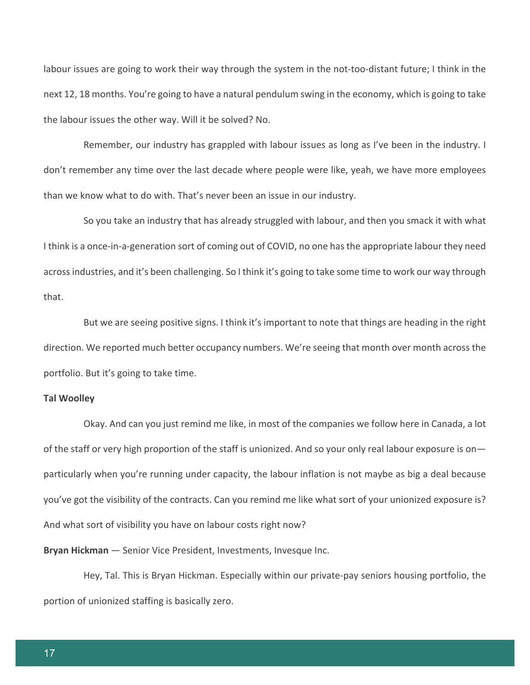labour issues are going to work their way through the system in the not-too-distant future; I think in the next 12, 18 months. You're going to have a natural pendulum swing in the economy, which is going to take the labour issues the other way. Will it be solved? No.

Remember, our industry has grappled with labour issues as long as I've been in the industry. I don't remember any time over the last decade where people were like, yeah, we have more employees than we know what to do with. That's never been an issue in our industry.

So you take an industry that has already struggled with labour, and then you smack it with what I think is a once-in-a-generation sort of coming out of COVID, no one has the appropriate labour they need across industries, and it's been challenging. So I think it's going to take some time to work our way through that.

But we are seeing positive signs. I think it's important to note that things are heading in the right direction. We reported much better occupancy numbers. We're seeing that month over month across the portfolio. But it's going to take time.

### **Tal Woolley**

Okay. And can you just remind me like, in most of the companies we follow here in Canada, a lot of the staff or very high proportion of the staff is unionized. And so your only real labour exposure is on particularly when you're running under capacity, the labour inflation is not maybe as big a deal because you've got the visibility of the contracts. Can you remind me like what sort of your unionized exposure is? And what sort of visibility you have on labour costs right now?

**Bryan Hickman** — Senior Vice President, Investments, Invesque Inc.

Hey, Tal. This is Bryan Hickman. Especially within our private-pay seniors housing portfolio, the portion of unionized staffing is basically zero.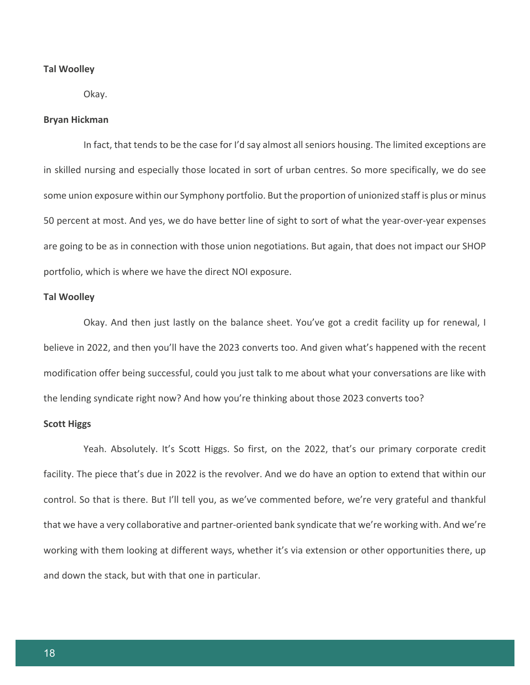### **Tal Woolley**

Okay.

### **Bryan Hickman**

In fact, that tends to be the case for I'd say almost all seniors housing. The limited exceptions are in skilled nursing and especially those located in sort of urban centres. So more specifically, we do see some union exposure within our Symphony portfolio. But the proportion of unionized staff is plus or minus 50 percent at most. And yes, we do have better line of sight to sort of what the year-over-year expenses are going to be as in connection with those union negotiations. But again, that does not impact our SHOP portfolio, which is where we have the direct NOI exposure.

### **Tal Woolley**

Okay. And then just lastly on the balance sheet. You've got a credit facility up for renewal, I believe in 2022, and then you'll have the 2023 converts too. And given what's happened with the recent modification offer being successful, could you just talk to me about what your conversations are like with the lending syndicate right now? And how you're thinking about those 2023 converts too?

### **Scott Higgs**

Yeah. Absolutely. It's Scott Higgs. So first, on the 2022, that's our primary corporate credit facility. The piece that's due in 2022 is the revolver. And we do have an option to extend that within our control. So that is there. But I'll tell you, as we've commented before, we're very grateful and thankful that we have a very collaborative and partner-oriented bank syndicate that we're working with. And we're working with them looking at different ways, whether it's via extension or other opportunities there, up and down the stack, but with that one in particular.